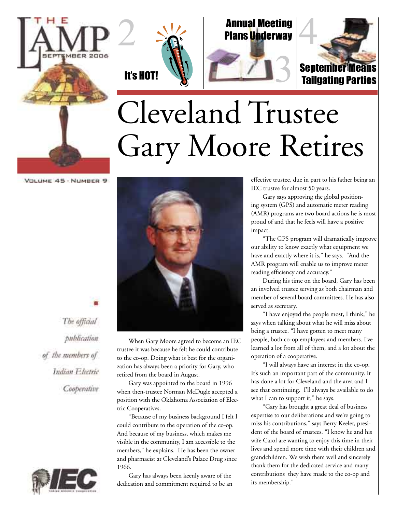



2

Annual Meeting Plans Underway

3



Tailgating Parties

## Cleveland Trustee Gary Moore Retires

VOLUME 45 - NUMBER 9



The official publication of the members of Indian Electric Cooperative



When Gary Moore agreed to become an IEC trustee it was because he felt he could contribute to the co-op. Doing what is best for the organization has always been a priority for Gary, who retired from the board in August.

Gary was appointed to the board in 1996 when then-trustee Norman McDugle accepted a position with the Oklahoma Association of Electric Cooperatives.

"Because of my business background I felt I could contribute to the operation of the co-op. And because of my business, which makes me visible in the community, I am accessible to the members," he explains. He has been the owner and pharmacist at Cleveland's Palace Drug since 1966.

Gary has always been keenly aware of the dedication and commitment required to be an effective trustee, due in part to his father being an IEC trustee for almost 50 years.

Gary says approving the global positioning system (GPS) and automatic meter reading (AMR) programs are two board actions he is most proud of and that he feels will have a positive impact.

"The GPS program will dramatically improve our ability to know exactly what equipment we have and exactly where it is," he says. "And the AMR program will enable us to improve meter reading efficiency and accuracy."

During his time on the board, Gary has been an involved trustee serving as both chairman and member of several board committees. He has also served as secretary.

"I have enjoyed the people most, I think," he says when talking about what he will miss about being a trustee. "I have gotten to meet many people, both co-op employees and members. I've learned a lot from all of them, and a lot about the operation of a cooperative.

"I will always have an interest in the co-op. It's such an important part of the community. It has done a lot for Cleveland and the area and I see that continuing. I'll always be available to do what I can to support it," he says.

"Gary has brought a great deal of business expertise to our deliberations and we're going to miss his contributions," says Berry Keeler, president of the board of trustees. "I know he and his wife Carol are wanting to enjoy this time in their lives and spend more time with their children and grandchildren. We wish them well and sincerely thank them for the dedicated service and many contributions they have made to the co-op and its membership."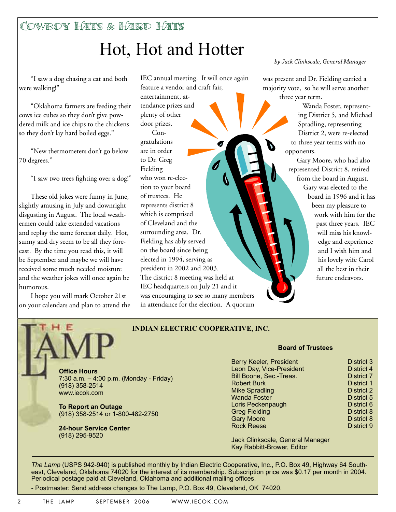Cowboy Hats & Hard Hats

## Hot, Hot and Hotter

"I saw a dog chasing a cat and both were walking!"

"Oklahoma farmers are feeding their cows ice cubes so they don't give powdered milk and ice chips to the chickens so they don't lay hard boiled eggs."

"New thermometers don't go below 70 degrees."

"I saw two trees fighting over a dog!"

These old jokes were funny in June, slightly amusing in July and downright disgusting in August. The local weathermen could take extended vacations and replay the same forecast daily. Hot, sunny and dry seem to be all they forecast. By the time you read this, it will be September and maybe we will have received some much needed moisture and the weather jokes will once again be humorous.

I hope you will mark October 21st on your calendars and plan to attend the IEC annual meeting. It will once again feature a vendor and craft fair, entertainment, attendance prizes and plenty of other door prizes. Congratulations are in order to Dr. Greg Fielding who won re-election to your board of trustees. He represents district 8 which is comprised of Cleveland and the surrounding area. Dr. Fielding has ably served on the board since being elected in 1994, serving as president in 2002 and 2003. The district 8 meeting was held at IEC headquarters on July 21 and it was encouraging to see so many members in attendance for the election. A quorum *by Jack Clinkscale, General Manager*

was present and Dr. Fielding carried a majority vote, so he will serve another three year term.

> Wanda Foster, representing District 5, and Michael Spradling, representing District 2, were re-elected to three year terms with no opponents.

Gary Moore, who had also represented District 8, retired from the board in August. Gary was elected to the board in 1996 and it has been my pleasure to work with him for the past three years. IEC will miss his knowledge and experience and I wish him and his lovely wife Carol all the best in their future endeavors.

#### **INDIAN ELECTRIC COOPERATIVE, INC.**

**Office Hours** 7:30 a.m. – 4:00 p.m. (Monday - Friday) (918) 358-2514

**To Report an Outage** (918) 358-2514 or 1-800-482-2750

**24-hour Service Center**  (918) 295-9520

www.iecok.com

#### **Board of Trustees**

| <b>District 3</b> |
|-------------------|
| <b>District 4</b> |
| <b>District 7</b> |
| <b>District 1</b> |
| <b>District 2</b> |
| District 5        |
| District 6        |
| District 8        |
| District 8        |
| <b>District 9</b> |
|                   |

Jack Clinkscale, General Manager Kay Rabbitt-Brower, Editor

*The Lamp* (USPS 942-940) is published monthly by Indian Electric Cooperative, Inc., P.O. Box 49, Highway 64 Southeast, Cleveland, Oklahoma 74020 for the interest of its membership. Subscription price was \$0.17 per month in 2004. Periodical postage paid at Cleveland, Oklahoma and additional mailing offices.

- Postmaster: Send address changes to The Lamp, P.O. Box 49, Cleveland, OK 74020.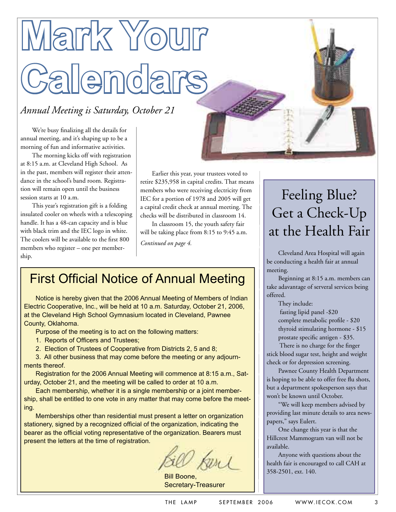# **Mark Your Calendars**

#### *Annual Meeting is Saturday, October 21*

We're busy finalizing all the details for annual meeting, and it's shaping up to be a morning of fun and informative activities.

The morning kicks off with registration at 8:15 a.m. at Cleveland High School. As in the past, members will register their attendance in the school's band room. Registration will remain open until the business session starts at 10 a.m.

This year's registration gift is a folding insulated cooler on wheels with a telescoping handle. It has a 48-can capacity and is blue with black trim and the IEC logo in white. The coolers will be available to the first 800 members who register – one per membership.

Earlier this year, your trustees voted to retire \$235,958 in capital credits. That means members who were receiving electricity from IEC for a portion of 1978 and 2005 will get a capital credit check at annual meeting. The checks will be distributed in classroom 14.

In classroom 15, the youth safety fair will be taking place from 8:15 to 9:45 a.m.

*Continued on page 4.*

### **First Official Notice of Annual Meeting**

Notice is hereby given that the 2006 Annual Meeting of Members of Indian Electric Cooperative, Inc., will be held at 10 a.m. Saturday, October 21, 2006, at the Cleveland High School Gymnasium located in Cleveland, Pawnee County, Oklahoma.

Purpose of the meeting is to act on the following matters:

- 1. Reports of Officers and Trustees;
- 2. Election of Trustees of Cooperative from Districts 2, 5 and 8;

3. All other business that may come before the meeting or any adjournments thereof.

Registration for the 2006 Annual Meeting will commence at 8:15 a.m., Saturday, October 21, and the meeting will be called to order at 10 a.m.

Each membership, whether it is a single membership or a joint membership, shall be entitled to one vote in any matter that may come before the meeting.

Memberships other than residential must present a letter on organization stationery, signed by a recognized official of the organization, indicating the bearer as the official voting representative of the organization. Bearers must present the letters at the time of registration.

Bill Boone, Secretary-Treasurer

## Feeling Blue? Get a Check-Up at the Health Fair

Cleveland Area Hospital will again be conducting a health fair at annual meeting.

Beginning at 8:15 a.m. members can take adavantage of serveral services being offered.

They include:

 fasting lipid panel -\$20 complete metabolic profile - \$20 thyroid stimulating hormone - \$15 prostate specific antigen - \$35.

There is no charge for the finger stick blood sugar test, height and weight check or for depression screening.

Pawnee County Health Department is hoping to be able to offer free flu shots, but a department spokesperson says that won't be known until October.

"We will keep members advised by providing last minute details to area newspapers," says Eulert.

One change this year is that the Hillcrest Mammogram van will not be available.

Anyone with questions about the health fair is encouraged to call CAH at 358-2501, ext. 140.